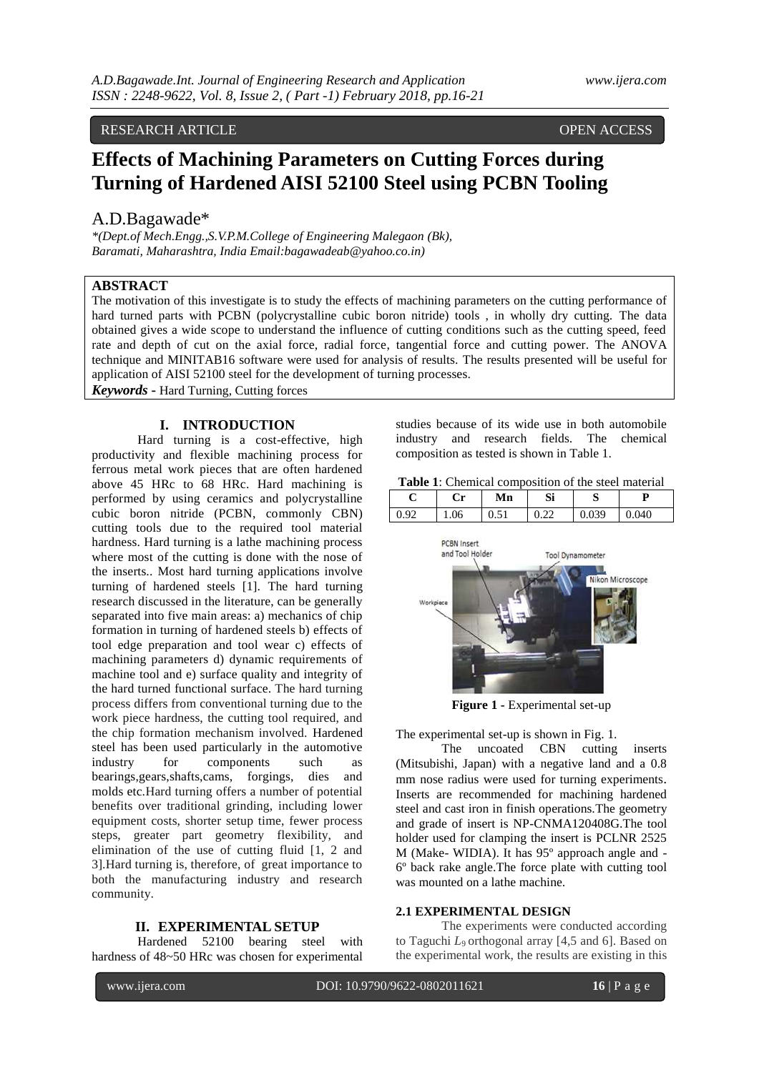# RESEARCH ARTICLE **OPEN ACCESS**

# **Effects of Machining Parameters on Cutting Forces during Turning of Hardened AISI 52100 Steel using PCBN Tooling**

# A.D.Bagawade\*

*\*(Dept.of Mech.Engg.,S.V.P.M.College of Engineering Malegaon (Bk), Baramati, Maharashtra, India Email:bagawadeab@yahoo.co.in)*

# **ABSTRACT**

The motivation of this investigate is to study the effects of machining parameters on the cutting performance of hard turned parts with PCBN (polycrystalline cubic boron nitride) tools , in wholly dry cutting. The data obtained gives a wide scope to understand the influence of cutting conditions such as the cutting speed, feed rate and depth of cut on the axial force, radial force, tangential force and cutting power. The ANOVA technique and MINITAB16 software were used for analysis of results. The results presented will be useful for application of AISI 52100 steel for the development of turning processes.

*Keywords* **-** Hard Turning, Cutting forces

### **I. INTRODUCTION**

Hard turning is a cost-effective, high productivity and flexible machining process for ferrous metal work pieces that are often hardened above 45 HRc to 68 HRc. Hard machining is performed by using ceramics and polycrystalline cubic boron nitride (PCBN, commonly CBN) cutting tools due to the required tool material hardness. Hard turning is a lathe machining process where most of the cutting is done with the nose of the inserts.. Most hard turning applications involve turning of hardened steels [1]. The hard turning research discussed in the literature, can be generally separated into five main areas: a) mechanics of chip formation in turning of hardened steels b) effects of tool edge preparation and tool wear c) effects of machining parameters d) dynamic requirements of machine tool and e) surface quality and integrity of the hard turned functional surface. The hard turning process differs from conventional turning due to the work piece hardness, the cutting tool required, and the chip formation mechanism involved. Hardened steel has been used particularly in the automotive industry for components such as bearings,gears,shafts,cams, forgings, dies and molds etc.Hard turning offers a number of potential benefits over traditional grinding, including lower equipment costs, shorter setup time, fewer process steps, greater part geometry flexibility, and elimination of the use of cutting fluid [1, 2 and 3].Hard turning is, therefore, of great importance to both the manufacturing industry and research community.

#### **II. EXPERIMENTAL SETUP**

Hardened 52100 bearing steel with hardness of  $48 \times 50$  HRc was chosen for experimental studies because of its wide use in both automobile industry and research fields. The chemical composition as tested is shown in Table 1.

|  |  | <b>Table 1:</b> Chemical composition of the steel material |
|--|--|------------------------------------------------------------|
|--|--|------------------------------------------------------------|

| ◡ | w<br>U | Mn | Si | N   |                |
|---|--------|----|----|-----|----------------|
|   | 06     | ິ  | -- | 030 | 040<br>$\cdot$ |



**Figure 1 -** Experimental set-up

The experimental set-up is shown in Fig. 1.

The uncoated CBN cutting inserts (Mitsubishi, Japan) with a negative land and a 0.8 mm nose radius were used for turning experiments. Inserts are recommended for machining hardened steel and cast iron in finish operations.The geometry and grade of insert is NP-CNMA120408G.The tool holder used for clamping the insert is PCLNR 2525 M (Make- WIDIA). It has 95º approach angle and - 6º back rake angle.The force plate with cutting tool was mounted on a lathe machine.

### **2.1 EXPERIMENTAL DESIGN**

The experiments were conducted according to Taguchi  $L_9$  orthogonal array [4,5 and 6]. Based on the experimental work, the results are existing in this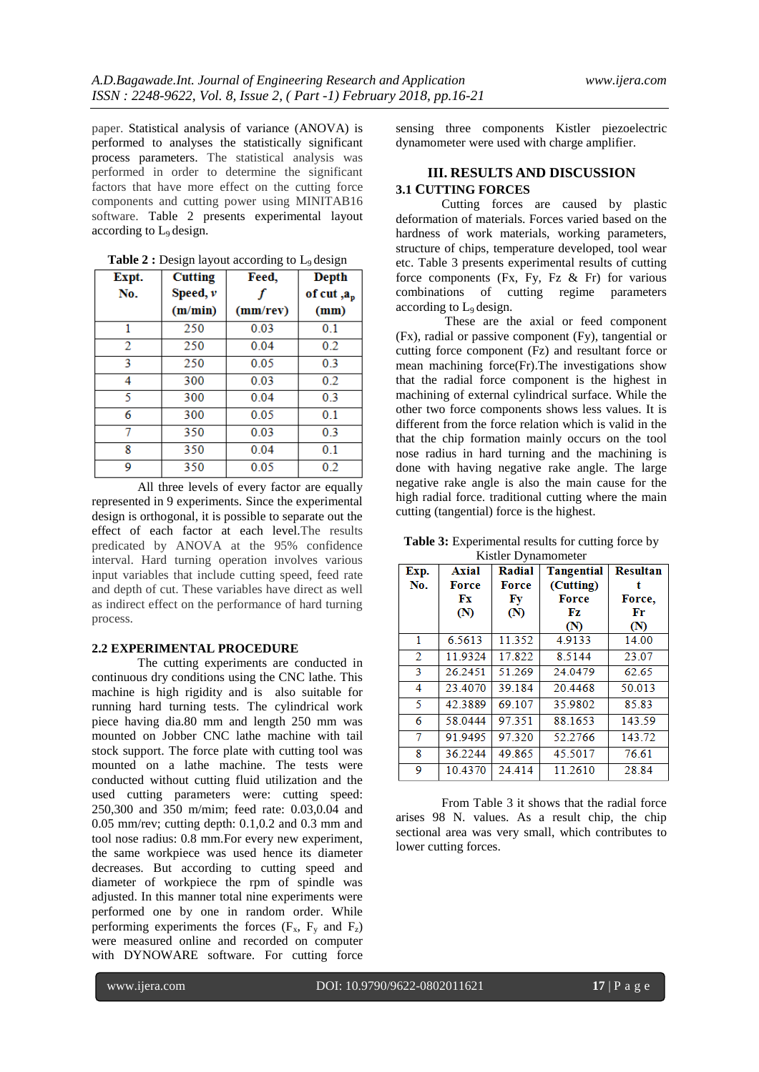paper. Statistical analysis of variance (ANOVA) is performed to analyses the statistically significant process parameters. The statistical analysis was performed in order to determine the significant factors that have more effect on the cutting force components and cutting power using MINITAB16 software. Table 2 presents experimental layout according to  $L_9$  design.

| Expt. | <b>Cutting</b><br>Feed, |          | <b>Depth</b>        |  |
|-------|-------------------------|----------|---------------------|--|
| No.   | Speed, $\nu$            |          | of cut, $a_{\rm p}$ |  |
|       | (m/min)                 | (mm/rev) | (mm)                |  |
| 1     | 250                     | 0.03     | 0.1                 |  |
| 2     | 250                     | 0.04     | 0.2                 |  |
| 3     | 250                     | 0.05     | 0.3                 |  |
| 4     | 300                     | 0.03     | 0.2                 |  |
| 5     | 300                     | 0.04     | 03                  |  |
| 6     | 300                     | 0.05     | 0.1                 |  |
| 7     | 350                     | 0.03     | 0.3                 |  |
| 8     | 350                     | 0.04     | 0.1                 |  |
| 9     | 350                     | 0.05     | 0.2                 |  |

**Table 2 :** Design layout according to  $L_9$  design

All three levels of every factor are equally represented in 9 experiments. Since the experimental design is orthogonal, it is possible to separate out the effect of each factor at each level.The results predicated by ANOVA at the 95% confidence interval. Hard turning operation involves various input variables that include cutting speed, feed rate and depth of cut. These variables have direct as well as indirect effect on the performance of hard turning process.

#### **2.2 EXPERIMENTAL PROCEDURE**

The cutting experiments are conducted in continuous dry conditions using the CNC lathe. This machine is high rigidity and is also suitable for running hard turning tests. The cylindrical work piece having dia.80 mm and length 250 mm was mounted on Jobber CNC lathe machine with tail stock support. The force plate with cutting tool was mounted on a lathe machine. The tests were conducted without cutting fluid utilization and the used cutting parameters were: cutting speed: 250,300 and 350 m/mim; feed rate: 0.03,0.04 and 0.05 mm/rev; cutting depth: 0.1,0.2 and 0.3 mm and tool nose radius: 0.8 mm.For every new experiment, the same workpiece was used hence its diameter decreases. But according to cutting speed and diameter of workpiece the rpm of spindle was adjusted. In this manner total nine experiments were performed one by one in random order. While performing experiments the forces  $(F_x, F_y \text{ and } F_z)$ were measured online and recorded on computer with DYNOWARE software. For cutting force

sensing three components Kistler piezoelectric dynamometer were used with charge amplifier.

#### **III. RESULTS AND DISCUSSION 3.1 CUTTING FORCES**

Cutting forces are caused by plastic deformation of materials. Forces varied based on the hardness of work materials, working parameters, structure of chips, temperature developed, tool wear etc. Table 3 presents experimental results of cutting force components (Fx, Fy, Fz  $\&$  Fr) for various combinations of cutting regime parameters according to L9 design.

These are the axial or feed component (Fx), radial or passive component (Fy), tangential or cutting force component (Fz) and resultant force or mean machining force(Fr).The investigations show that the radial force component is the highest in machining of external cylindrical surface. While the other two force components shows less values. It is different from the force relation which is valid in the that the chip formation mainly occurs on the tool nose radius in hard turning and the machining is done with having negative rake angle. The large negative rake angle is also the main cause for the high radial force. traditional cutting where the main cutting (tangential) force is the highest.

**Table 3:** Experimental results for cutting force by Kistler Dynamometer

| Exp. | <b>Axial</b> | Radial       | <b>Tangential</b> | <b>Resultan</b> |
|------|--------------|--------------|-------------------|-----------------|
| No.  | <b>Force</b> | <b>Force</b> | (Cutting)         |                 |
|      | Fх           | Fy           | <b>Force</b>      | Force.          |
|      | (N)          | (N)          | Fz                | Fr              |
|      |              |              | (N)               | (N)             |
| 1    | 6.5613       | 11.352       | 4.9133            | 14.00           |
| 2    | 119324       | 17.822       | 8.5144            | 23.07           |
| 3    | 26.2451      | 51.269       | 24.0479           | 62.65           |
| 4    | 23.4070      | 39.184       | 20.4468           | 50.013          |
| 5    | 42.3889      | 69.107       | 35.9802           | 85.83           |
| 6    | 58.0444      | 97.351       | 88.1653           | 143.59          |
| 7    | 91.9495      | 97.320       | 52.2766           | 143.72          |
| 8    | 36.2244      | 49.865       | 45.5017           | 76.61           |
| 9    | 10.4370      | 24.414       | 11.2610           | 28.84           |

From Table 3 it shows that the radial force arises 98 N. values. As a result chip, the chip sectional area was very small, which contributes to lower cutting forces.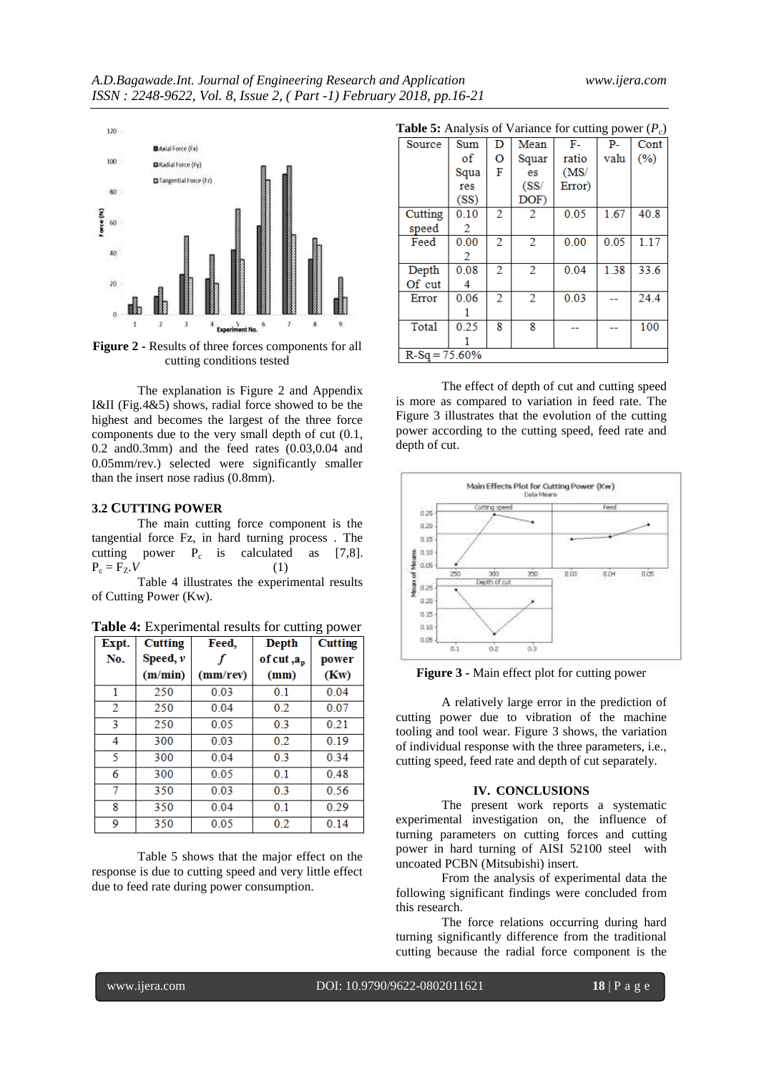

**Figure 2 -** Results of three forces components for all cutting conditions tested

The explanation is Figure 2 and Appendix I&II (Fig.4&5) shows, radial force showed to be the highest and becomes the largest of the three force components due to the very small depth of cut (0.1, 0.2 and0.3mm) and the feed rates (0.03,0.04 and 0.05mm/rev.) selected were significantly smaller than the insert nose radius (0.8mm).

#### **3.2 CUTTING POWER**

 The main cutting force component is the tangential force Fz, in hard turning process . The cutting power  $P_c$  is calculated as [7,8].  $P_c = F_Z V$  (1)

Table 4 illustrates the experimental results of Cutting Power (Kw).

**Table 4:** Experimental results for cutting power

| Expt. | <b>Cutting</b> | Feed,    | Depth               | ັ້<br><b>Cutting</b> |
|-------|----------------|----------|---------------------|----------------------|
| No.   | Speed, $\nu$   |          | of cut, $a_{\rm p}$ | power                |
|       | (m/min)        | (mm/rev) | (mm)                | (Kw)                 |
| 1     | 250            | 0.03     | 0.1                 | 0.04                 |
| 2     | 250            | 0.04     | 0.2                 | 0.07                 |
| 3     | 250            | 0.05     | 0.3                 | 0.21                 |
| 4     | 300            | 0.03     | 0.2                 | 0.19                 |
| 5     | 300            | 0.04     | 0.3                 | 0.34                 |
| 6     | 300            | 0.05     | 0.1                 | 0.48                 |
| 7     | 350            | 0.03     | 0.3                 | 0.56                 |
| 8     | 350            | 0.04     | 0.1                 | 0.29                 |
| 9     | 350            | 0.05     | 0.2                 | 0.14                 |

 Table 5 shows that the major effect on the response is due to cutting speed and very little effect due to feed rate during power consumption.

| <b>Table 5:</b> Analysis of Variance for cutting power $(P_c)$ |      |   |       |        |      |      |
|----------------------------------------------------------------|------|---|-------|--------|------|------|
| Source                                                         | Sum  | D | Mean  | F-     | р.   | Cont |
|                                                                | of   | o | Squar | ratio  | valu | (%)  |
|                                                                | Squa | F | es    | (MS)   |      |      |
|                                                                | res  |   | (SS/  | Error) |      |      |
|                                                                | (SS) |   | DOF)  |        |      |      |
| Cutting                                                        | 0.10 | 2 | 2.    | 0.05   | 1.67 | 40.8 |
| speed                                                          | 2    |   |       |        |      |      |
| Feed                                                           | 0.00 | 2 | 2     | 0.00   | 0.05 | 1.17 |
|                                                                | 2    |   |       |        |      |      |
| Depth                                                          | 0.08 | 2 | 2     | 0.04   | 1.38 | 33.6 |
| Of cut                                                         |      |   |       |        |      |      |
| Error                                                          | 0.06 | 2 | 2     | 0.03   |      | 24.4 |
|                                                                |      |   |       |        |      |      |
| <b>Total</b>                                                   | 0.25 | 8 | 8     |        |      | 100  |
|                                                                |      |   |       |        |      |      |
| $R-Sq = 75.60\%$                                               |      |   |       |        |      |      |

The effect of depth of cut and cutting speed is more as compared to variation in feed rate. The Figure 3 illustrates that the evolution of the cutting power according to the cutting speed, feed rate and depth of cut.



**Figure 3 -** Main effect plot for cutting power

 A relatively large error in the prediction of cutting power due to vibration of the machine tooling and tool wear. Figure 3 shows, the variation of individual response with the three parameters, i.e., cutting speed, feed rate and depth of cut separately.

#### **IV. CONCLUSIONS**

The present work reports a systematic experimental investigation on, the influence of turning parameters on cutting forces and cutting power in hard turning of AISI 52100 steel with uncoated PCBN (Mitsubishi) insert.

From the analysis of experimental data the following significant findings were concluded from this research.

The force relations occurring during hard turning significantly difference from the traditional cutting because the radial force component is the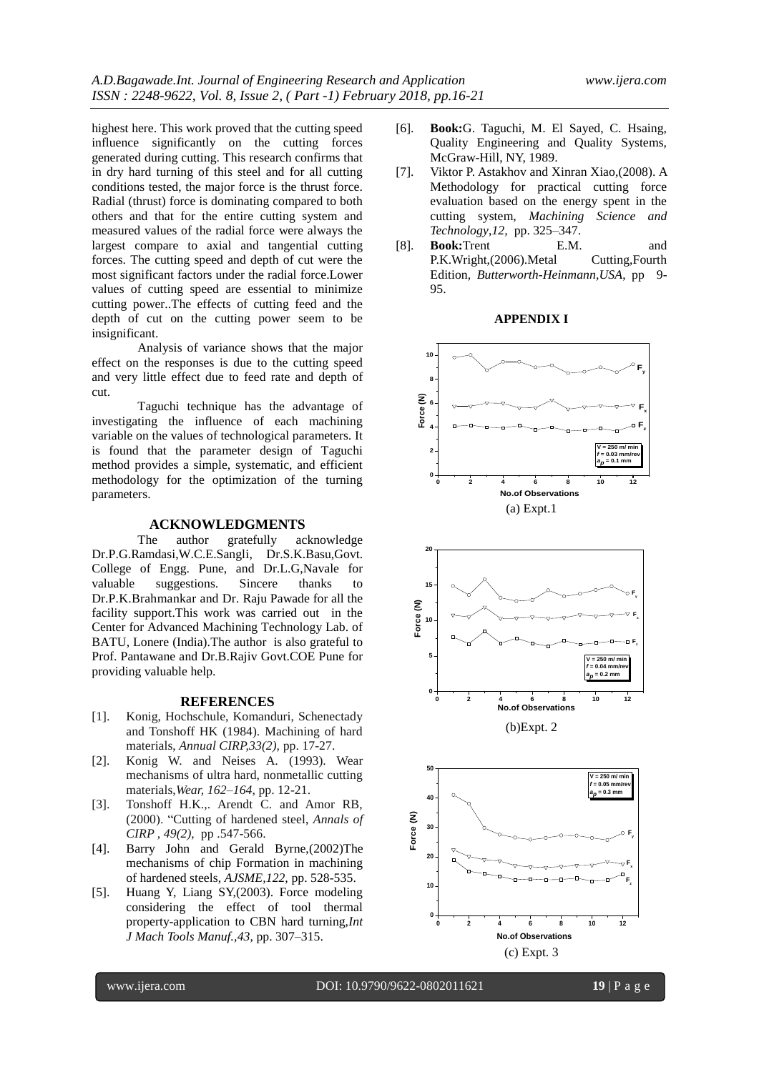highest here. This work proved that the cutting speed influence significantly on the cutting forces generated during cutting. This research confirms that in dry hard turning of this steel and for all cutting conditions tested, the major force is the thrust force. Radial (thrust) force is dominating compared to both others and that for the entire cutting system and measured values of the radial force were always the largest compare to axial and tangential cutting forces. The cutting speed and depth of cut were the most significant factors under the radial force.Lower values of cutting speed are essential to minimize cutting power..The effects of cutting feed and the depth of cut on the cutting power seem to be insignificant.

Analysis of variance shows that the major effect on the responses is due to the cutting speed and very little effect due to feed rate and depth of cut.

Taguchi technique has the advantage of investigating the influence of each machining variable on the values of technological parameters. It is found that the parameter design of Taguchi method provides a simple, systematic, and efficient methodology for the optimization of the turning parameters.

#### **ACKNOWLEDGMENTS**

The author gratefully acknowledge Dr.P.G.Ramdasi,W.C.E.Sangli, Dr.S.K.Basu,Govt. College of Engg. Pune, and Dr.L.G,Navale for valuable suggestions. Sincere thanks to Dr.P.K.Brahmankar and Dr. Raju Pawade for all the facility support.This work was carried out in the Center for Advanced Machining Technology Lab. of BATU, Lonere (India).The author is also grateful to Prof. Pantawane and Dr.B.Rajiv Govt.COE Pune for providing valuable help.

#### **REFERENCES**

- [1]. Konig, Hochschule, Komanduri, Schenectady and Tonshoff HK (1984). Machining of hard materials, *Annual CIRP,33(2),* pp. 17-27.
- [2]. Konig W. and Neises A. (1993). Wear mechanisms of ultra hard, nonmetallic cutting materials,*Wear, 162–164*, pp. 12-21.
- [3]. Tonshoff H.K., Arendt C. and Amor RB, (2000). "Cutting of hardened steel, *Annals of CIRP , 49(2),* pp .547-566.
- [4]. Barry John and Gerald Byrne,(2002)The mechanisms of chip Formation in machining of hardened steels, *AJSME,122,* pp. 528-535.
- [5]. Huang Y, Liang SY,(2003). Force modeling considering the effect of tool thermal property-application to CBN hard turning,*Int J Mach Tools Manuf.,43*, pp. 307–315.
- [6]. **Book:**G. Taguchi, M. El Sayed, C. Hsaing, Quality Engineering and Quality Systems, McGraw-Hill, NY, 1989.
- [7]. Viktor P. Astakhov and Xinran Xiao,(2008). A Methodology for practical cutting force evaluation based on the energy spent in the cutting system, *Machining Science and Technology*,*12,* pp. 325–347.
- [8]. **Book:**Trent E.M. and P.K.Wright,(2006).Metal Cutting,Fourth Edition, *Butterworth-Heinmann,USA*, pp 9- 95.

#### **APPENDIX I**





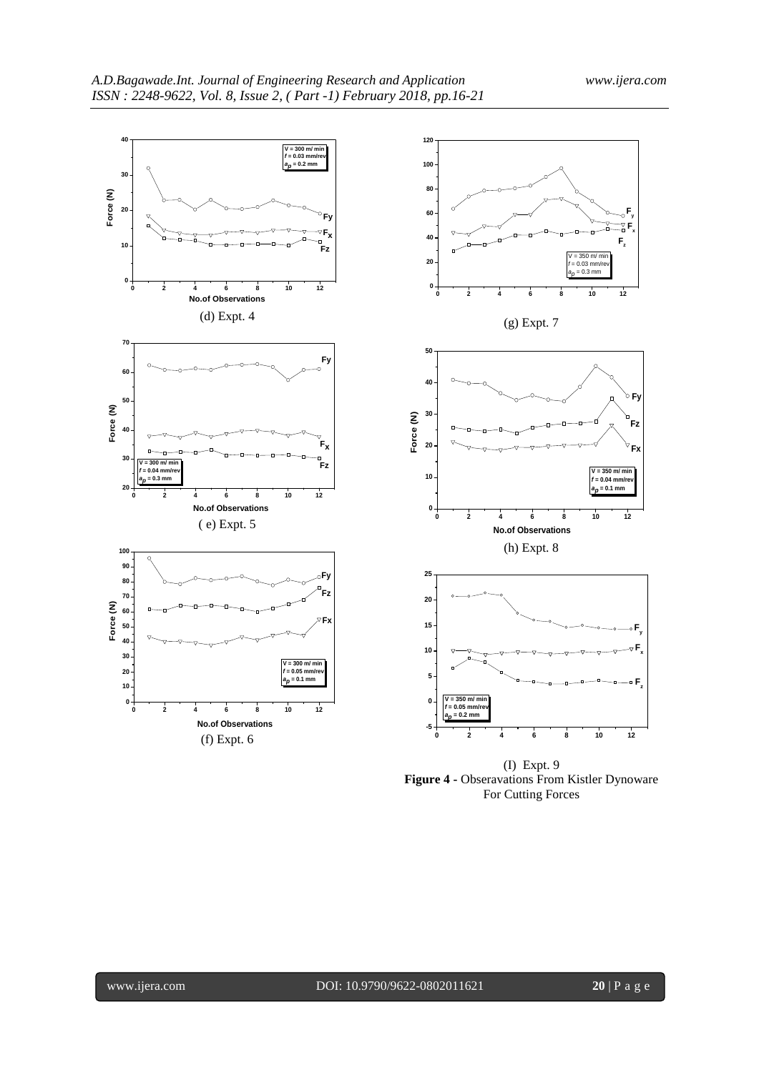



(I) Expt. 9 **Figure 4 -** Obseravations From Kistler Dynoware For Cutting Forces